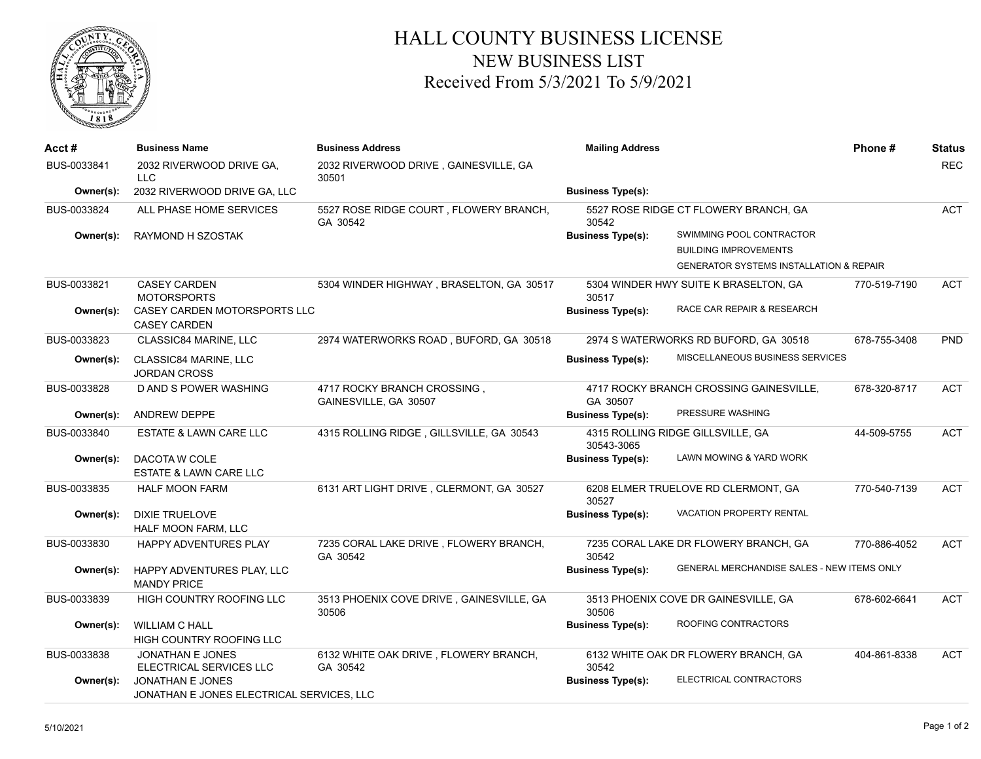

## HALL COUNTY BUSINESS LICENSE NEW BUSINESS LIST Received From 5/3/2021 To 5/9/2021

| Acct#       | <b>Business Name</b>                                     | <b>Business Address</b>                              | <b>Mailing Address</b>                         |                                                    | Phone#       | <b>Status</b> |
|-------------|----------------------------------------------------------|------------------------------------------------------|------------------------------------------------|----------------------------------------------------|--------------|---------------|
| BUS-0033841 | 2032 RIVERWOOD DRIVE GA.<br>LLC                          | 2032 RIVERWOOD DRIVE, GAINESVILLE, GA<br>30501       |                                                |                                                    |              | <b>REC</b>    |
| Owner(s):   | 2032 RIVERWOOD DRIVE GA, LLC                             |                                                      | <b>Business Type(s):</b>                       |                                                    |              |               |
| BUS-0033824 | ALL PHASE HOME SERVICES                                  | 5527 ROSE RIDGE COURT, FLOWERY BRANCH,<br>GA 30542   | 5527 ROSE RIDGE CT FLOWERY BRANCH, GA<br>30542 |                                                    | <b>ACT</b>   |               |
| Owner(s):   | RAYMOND H SZOSTAK                                        |                                                      | <b>Business Type(s):</b>                       | SWIMMING POOL CONTRACTOR                           |              |               |
|             |                                                          |                                                      |                                                | <b>BUILDING IMPROVEMENTS</b>                       |              |               |
|             |                                                          |                                                      |                                                | <b>GENERATOR SYSTEMS INSTALLATION &amp; REPAIR</b> |              |               |
| BUS-0033821 | <b>CASEY CARDEN</b><br><b>MOTORSPORTS</b>                | 5304 WINDER HIGHWAY, BRASELTON, GA 30517             | 5304 WINDER HWY SUITE K BRASELTON, GA<br>30517 |                                                    | 770-519-7190 | <b>ACT</b>    |
| Owner(s):   | CASEY CARDEN MOTORSPORTS LLC<br><b>CASEY CARDEN</b>      |                                                      | <b>Business Type(s):</b>                       | RACE CAR REPAIR & RESEARCH                         |              |               |
| BUS-0033823 | CLASSIC84 MARINE, LLC                                    | 2974 WATERWORKS ROAD, BUFORD, GA 30518               |                                                | 2974 S WATERWORKS RD BUFORD, GA 30518              | 678-755-3408 | PND           |
| Owner(s):   | CLASSIC84 MARINE, LLC<br><b>JORDAN CROSS</b>             |                                                      | <b>Business Type(s):</b>                       | MISCELLANEOUS BUSINESS SERVICES                    |              |               |
| BUS-0033828 | D AND S POWER WASHING                                    | 4717 ROCKY BRANCH CROSSING,<br>GAINESVILLE, GA 30507 | GA 30507                                       | 4717 ROCKY BRANCH CROSSING GAINESVILLE,            | 678-320-8717 | <b>ACT</b>    |
| Owner(s):   | <b>ANDREW DEPPE</b>                                      |                                                      | <b>Business Type(s):</b>                       | PRESSURE WASHING                                   |              |               |
| BUS-0033840 | ESTATE & LAWN CARE LLC                                   | 4315 ROLLING RIDGE, GILLSVILLE, GA 30543             | 30543-3065                                     | 4315 ROLLING RIDGE GILLSVILLE, GA                  | 44-509-5755  | <b>ACT</b>    |
| Owner(s):   | DACOTA W COLE<br><b>ESTATE &amp; LAWN CARE LLC</b>       |                                                      | <b>Business Type(s):</b>                       | LAWN MOWING & YARD WORK                            |              |               |
| BUS-0033835 | <b>HALF MOON FARM</b>                                    | 6131 ART LIGHT DRIVE, CLERMONT, GA 30527             | 30527                                          | 6208 ELMER TRUELOVE RD CLERMONT, GA                | 770-540-7139 | <b>ACT</b>    |
| Owner(s):   | <b>DIXIE TRUELOVE</b><br>HALF MOON FARM, LLC             |                                                      | <b>Business Type(s):</b>                       | <b>VACATION PROPERTY RENTAL</b>                    |              |               |
| BUS-0033830 | HAPPY ADVENTURES PLAY                                    | 7235 CORAL LAKE DRIVE, FLOWERY BRANCH,<br>GA 30542   | 30542                                          | 7235 CORAL LAKE DR FLOWERY BRANCH, GA              | 770-886-4052 | <b>ACT</b>    |
| Owner(s):   | HAPPY ADVENTURES PLAY, LLC<br><b>MANDY PRICE</b>         |                                                      | <b>Business Type(s):</b>                       | GENERAL MERCHANDISE SALES - NEW ITEMS ONLY         |              |               |
| BUS-0033839 | HIGH COUNTRY ROOFING LLC                                 | 3513 PHOENIX COVE DRIVE, GAINESVILLE, GA<br>30506    | 30506                                          | 3513 PHOENIX COVE DR GAINESVILLE, GA               | 678-602-6641 | <b>ACT</b>    |
| Owner(s):   | <b>WILLIAM C HALL</b><br><b>HIGH COUNTRY ROOFING LLC</b> |                                                      | <b>Business Type(s):</b>                       | ROOFING CONTRACTORS                                |              |               |
| BUS-0033838 | <b>JONATHAN E JONES</b><br>ELECTRICAL SERVICES LLC       | 6132 WHITE OAK DRIVE, FLOWERY BRANCH,<br>GA 30542    | 30542                                          | 6132 WHITE OAK DR FLOWERY BRANCH, GA               | 404-861-8338 | <b>ACT</b>    |
| Owner(s):   | JONATHAN E JONES                                         |                                                      | <b>Business Type(s):</b>                       | ELECTRICAL CONTRACTORS                             |              |               |
|             | JONATHAN E JONES ELECTRICAL SERVICES, LLC                |                                                      |                                                |                                                    |              |               |